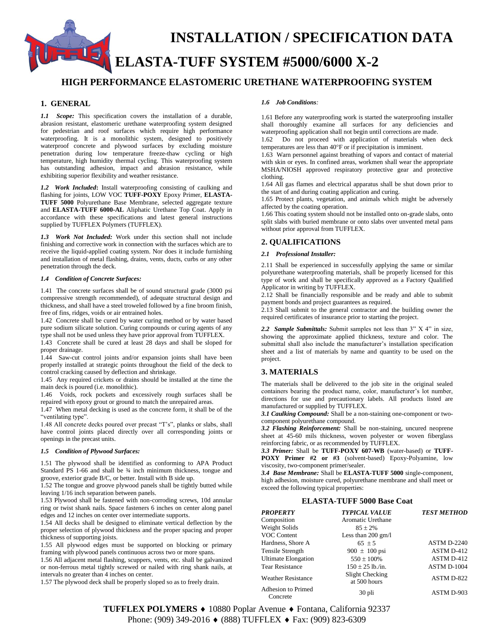**INSTALLATION / SPECIFICATION DATA ELASTA-TUFF SYSTEM #5000/6000 X-2**

# **HIGH PERFORMANCE ELASTOMERIC URETHANE WATERPROOFING SYSTEM**

# **1. GENERAL**

*1.1 Scope:* This specification covers the installation of a durable, abrasion resistant, elastomeric urethane waterproofing system designed for pedestrian and roof surfaces which require high performance waterproofing. It is a monolithic system, designed to positively waterproof concrete and plywood surfaces by excluding moisture penetration during low temperature freeze-thaw cycling or high temperature, high humidity thermal cycling. This waterproofing system has outstanding adhesion, impact and abrasion resistance, while exhibiting superior flexibility and weather resistance.

*1.2 Work Included***:** Install waterproofing consisting of caulking and flashing for joints, LOW VOC **TUFF-POXY** Epoxy Primer, **ELASTA-TUFF 5000** Polyurethane Base Membrane, selected aggregate texture and **ELASTA-TUFF 6000-AL** Aliphatic Urethane Top Coat. Apply in accordance with these specifications and latest general instructions supplied by TUFFLEX Polymers (TUFFLEX).

*1.3 Work Not Included:* Work under this section shall not include finishing and corrective work in connection with the surfaces which are to receive the liquid-applied coating system. Nor does it include furnishing and installation of metal flashing, drains, vents, ducts, curbs or any other penetration through the deck.

#### *1.4 Condition of Concrete Surfaces:*

1.41 The concrete surfaces shall be of sound structural grade (3000 psi compressive strength recommended), of adequate structural design and thickness, and shall have a steel troweled followed by a fine broom finish, free of fins, ridges, voids or air entrained holes.

1.42 Concrete shall be cured by water curing method or by water based pure sodium silicate solution. Curing compounds or curing agents of any type shall not be used unless they have prior approval from TUFFLEX.

1.43 Concrete shall be cured at least 28 days and shall be sloped for proper drainage.

1.44 Saw-cut control joints and/or expansion joints shall have been properly installed at strategic points throughout the field of the deck to control cracking caused by deflection and shrinkage.

1.45 Any required crickets or drains should be installed at the time the main deck is poured (i.e. monolithic).

1.46 Voids, rock pockets and excessively rough surfaces shall be repaired with epoxy grout or ground to match the unrepaired areas.

1.47 When metal decking is used as the concrete form, it shall be of the "ventilating type".

1.48 All concrete decks poured over precast "T's", planks or slabs, shall have control joints placed directly over all corresponding joints or openings in the precast units.

#### *1.5 Condition of Plywood Surfaces:*

1.51 The plywood shall be identified as conforming to APA Product Standard PS 1-66 and shall be  $\frac{3}{4}$  inch minimum thickness, tongue and groove, exterior grade B/C, or better. Install with B side up.

1.52 The tongue and groove plywood panels shall be tightly butted while leaving 1/16 inch separation between panels.

1.53 Plywood shall be fastened with non-corroding screws, 10d annular ring or twist shank nails. Space fasteners 6 inches on center along panel edges and 12 inches on center over intermediate supports.

1.54 All decks shall be designed to eliminate vertical deflection by the proper selection of plywood thickness and the proper spacing and proper thickness of supporting joists.

1.55 All plywood edges must be supported on blocking or primary framing with plywood panels continuous across two or more spans.

1.56 All adjacent metal flashing, scuppers, vents, etc. shall be galvanized or non-ferrous metal tightly screwed or nailed with ring shank nails, at intervals no greater than 4 inches on center.

1.57 The plywood deck shall be properly sloped so as to freely drain.

#### *1.6 Job Conditions:*

1.61 Before any waterproofing work is started the waterproofing installer shall thoroughly examine all surfaces for any deficiencies and waterproofing application shall not begin until corrections are made.

1.62 Do not proceed with application of materials when deck temperatures are less than 40°F or if precipitation is imminent.

1.63 Warn personnel against breathing of vapors and contact of material with skin or eyes. In confined areas, workmen shall wear the appropriate MSHA/NIOSH approved respiratory protective gear and protective clothing.

1.64 All gas flames and electrical apparatus shall be shut down prior to the start of and during coating application and curing.

1.65 Protect plants, vegetation, and animals which might be adversely affected by the coating operation.

1.66 This coating system should not be installed onto on-grade slabs, onto split slabs with buried membrane or onto slabs over unvented metal pans without prior approval from TUFFLEX.

## **2. QUALIFICATIONS**

#### *2.1 Professional Installer:*

2.11 Shall be experienced in successfully applying the same or similar polyurethane waterproofing materials, shall be properly licensed for this type of work and shall be specifically approved as a Factory Qualified Applicator in writing by TUFFLEX.

2.12 Shall be financially responsible and be ready and able to submit payment bonds and project guarantees as required.

2.13 Shall submit to the general contractor and the building owner the required certificates of insurance prior to starting the project.

*2.2**Sample Submittals:* Submit samples not less than 3" X 4" in size, showing the approximate applied thickness, texture and color. The submittal shall also include the manufacturer's installation specification sheet and a list of materials by name and quantity to be used on the project.

## **3. MATERIALS**

The materials shall be delivered to the job site in the original sealed containers bearing the product name, color, manufacturer's lot number, directions for use and precautionary labels. All products listed are manufactured or supplied by TUFFLEX.

*3.1 Caulking Compound:* Shall be a non-staining one-component or twocomponent polyurethane compound.

*3.2 Flashing Reinforcement:* Shall be non-staining, uncured neoprene sheet at 45-60 mils thickness, woven polyester or woven fiberglass reinforcing fabric, or as recommended by TUFFLEX.

*3.3 Primer:* Shall be **TUFF-POXY 607-WB** (water-based) or **TUFF-POXY Primer #2 or #3** (solvent-based) Epoxy-Polyamine, low viscosity, two-component primer/sealer.

*3.4 Base Membrane:* Shall be **ELASTA-TUFF 5000** single-component, high adhesion, moisture cured, polyurethane membrane and shall meet or exceed the following typical properties:

## **ELASTA-TUFF 5000 Base Coat**

| <b>PROPERTY</b>                | <b>TYPICAL VALUE</b>            | <b>TEST METHOD</b> |
|--------------------------------|---------------------------------|--------------------|
| Composition                    | Aromatic Urethane               |                    |
| Weight Solids                  | $85 \pm 2\%$                    |                    |
| VOC Content                    | Less than $200 \text{ gm/l}$    |                    |
| Hardness, Shore A              | $65 + 5$                        | <b>ASTM D-2240</b> |
| Tensile Strength               | 900 $\pm$ 100 psi               | <b>ASTM D-412</b>  |
| Ultimate Elongation            | $550 \pm 100\%$                 | <b>ASTM D-412</b>  |
| <b>Tear Resistance</b>         | $150 \pm 25$ lb./in.            | ASTM D-1004        |
| <b>Weather Resistance</b>      | Slight Checking<br>at 500 hours | ASTM D-822         |
| Adhesion to Primed<br>Concrete | 30 pli                          | ASTM D-903         |

**TUFFLEX POLYMERS ♦** 10880 Poplar Avenue ♦ Fontana, California 92337 Phone: (909) 349-2016 ♦ (888) TUFFLEX ♦ Fax: (909) 823-6309